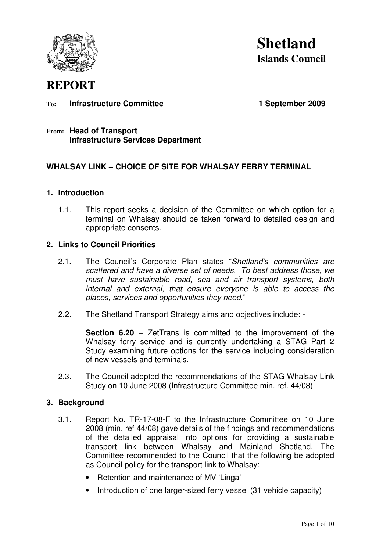

# **REPORT**

#### To: **Infrastructure Committee 1 September 2009**

#### **From: Head of Transport Infrastructure Services Department**

# **WHALSAY LINK – CHOICE OF SITE FOR WHALSAY FERRY TERMINAL**

#### **1. Introduction**

1.1. This report seeks a decision of the Committee on which option for a terminal on Whalsay should be taken forward to detailed design and appropriate consents.

#### **2. Links to Council Priorities**

- 2.1. The Council's Corporate Plan states "Shetland's communities are scattered and have a diverse set of needs. To best address those, we must have sustainable road, sea and air transport systems, both internal and external, that ensure everyone is able to access the places, services and opportunities they need."
- 2.2. The Shetland Transport Strategy aims and objectives include: -

**Section 6.20** – ZetTrans is committed to the improvement of the Whalsay ferry service and is currently undertaking a STAG Part 2 Study examining future options for the service including consideration of new vessels and terminals.

2.3. The Council adopted the recommendations of the STAG Whalsay Link Study on 10 June 2008 (Infrastructure Committee min. ref. 44/08)

#### **3. Background**

- 3.1. Report No. TR-17-08-F to the Infrastructure Committee on 10 June 2008 (min. ref 44/08) gave details of the findings and recommendations of the detailed appraisal into options for providing a sustainable transport link between Whalsay and Mainland Shetland. The Committee recommended to the Council that the following be adopted as Council policy for the transport link to Whalsay: -
	- Retention and maintenance of MV 'Linga'
	- Introduction of one larger-sized ferry vessel (31 vehicle capacity)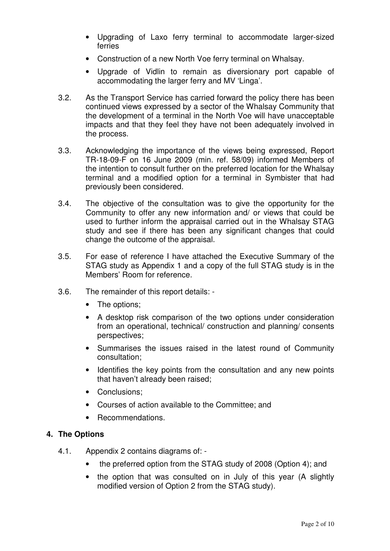- Upgrading of Laxo ferry terminal to accommodate larger-sized ferries
- Construction of a new North Voe ferry terminal on Whalsay.
- Upgrade of Vidlin to remain as diversionary port capable of accommodating the larger ferry and MV 'Linga'.
- 3.2. As the Transport Service has carried forward the policy there has been continued views expressed by a sector of the Whalsay Community that the development of a terminal in the North Voe will have unacceptable impacts and that they feel they have not been adequately involved in the process.
- 3.3. Acknowledging the importance of the views being expressed, Report TR-18-09-F on 16 June 2009 (min. ref. 58/09) informed Members of the intention to consult further on the preferred location for the Whalsay terminal and a modified option for a terminal in Symbister that had previously been considered.
- 3.4. The objective of the consultation was to give the opportunity for the Community to offer any new information and/ or views that could be used to further inform the appraisal carried out in the Whalsay STAG study and see if there has been any significant changes that could change the outcome of the appraisal.
- 3.5. For ease of reference I have attached the Executive Summary of the STAG study as Appendix 1 and a copy of the full STAG study is in the Members' Room for reference.
- 3.6. The remainder of this report details:
	- The options:
	- A desktop risk comparison of the two options under consideration from an operational, technical/ construction and planning/ consents perspectives;
	- Summarises the issues raised in the latest round of Community consultation;
	- Identifies the key points from the consultation and any new points that haven't already been raised;
	- Conclusions;
	- Courses of action available to the Committee; and
	- Recommendations.

# **4. The Options**

- 4.1. Appendix 2 contains diagrams of:
	- the preferred option from the STAG study of 2008 (Option 4); and
	- the option that was consulted on in July of this year (A slightly modified version of Option 2 from the STAG study).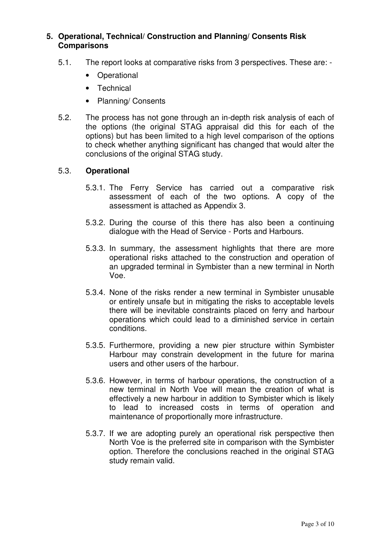# **5. Operational, Technical/ Construction and Planning/ Consents Risk Comparisons**

- 5.1. The report looks at comparative risks from 3 perspectives. These are:
	- Operational
	- Technical
	- Planning/ Consents
- 5.2. The process has not gone through an in-depth risk analysis of each of the options (the original STAG appraisal did this for each of the options) but has been limited to a high level comparison of the options to check whether anything significant has changed that would alter the conclusions of the original STAG study.

# 5.3. **Operational**

- 5.3.1. The Ferry Service has carried out a comparative risk assessment of each of the two options. A copy of the assessment is attached as Appendix 3.
- 5.3.2. During the course of this there has also been a continuing dialogue with the Head of Service - Ports and Harbours.
- 5.3.3. In summary, the assessment highlights that there are more operational risks attached to the construction and operation of an upgraded terminal in Symbister than a new terminal in North Voe.
- 5.3.4. None of the risks render a new terminal in Symbister unusable or entirely unsafe but in mitigating the risks to acceptable levels there will be inevitable constraints placed on ferry and harbour operations which could lead to a diminished service in certain conditions.
- 5.3.5. Furthermore, providing a new pier structure within Symbister Harbour may constrain development in the future for marina users and other users of the harbour.
- 5.3.6. However, in terms of harbour operations, the construction of a new terminal in North Voe will mean the creation of what is effectively a new harbour in addition to Symbister which is likely to lead to increased costs in terms of operation and maintenance of proportionally more infrastructure.
- 5.3.7. If we are adopting purely an operational risk perspective then North Voe is the preferred site in comparison with the Symbister option. Therefore the conclusions reached in the original STAG study remain valid.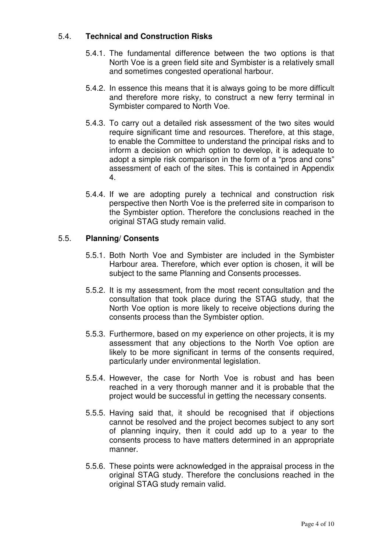# 5.4. **Technical and Construction Risks**

- 5.4.1. The fundamental difference between the two options is that North Voe is a green field site and Symbister is a relatively small and sometimes congested operational harbour.
- 5.4.2. In essence this means that it is always going to be more difficult and therefore more risky, to construct a new ferry terminal in Symbister compared to North Voe.
- 5.4.3. To carry out a detailed risk assessment of the two sites would require significant time and resources. Therefore, at this stage, to enable the Committee to understand the principal risks and to inform a decision on which option to develop, it is adequate to adopt a simple risk comparison in the form of a "pros and cons" assessment of each of the sites. This is contained in Appendix 4.
- 5.4.4. If we are adopting purely a technical and construction risk perspective then North Voe is the preferred site in comparison to the Symbister option. Therefore the conclusions reached in the original STAG study remain valid.

# 5.5. **Planning/ Consents**

- 5.5.1. Both North Voe and Symbister are included in the Symbister Harbour area. Therefore, which ever option is chosen, it will be subject to the same Planning and Consents processes.
- 5.5.2. It is my assessment, from the most recent consultation and the consultation that took place during the STAG study, that the North Voe option is more likely to receive objections during the consents process than the Symbister option.
- 5.5.3. Furthermore, based on my experience on other projects, it is my assessment that any objections to the North Voe option are likely to be more significant in terms of the consents required, particularly under environmental legislation.
- 5.5.4. However, the case for North Voe is robust and has been reached in a very thorough manner and it is probable that the project would be successful in getting the necessary consents.
- 5.5.5. Having said that, it should be recognised that if objections cannot be resolved and the project becomes subject to any sort of planning inquiry, then it could add up to a year to the consents process to have matters determined in an appropriate manner.
- 5.5.6. These points were acknowledged in the appraisal process in the original STAG study. Therefore the conclusions reached in the original STAG study remain valid.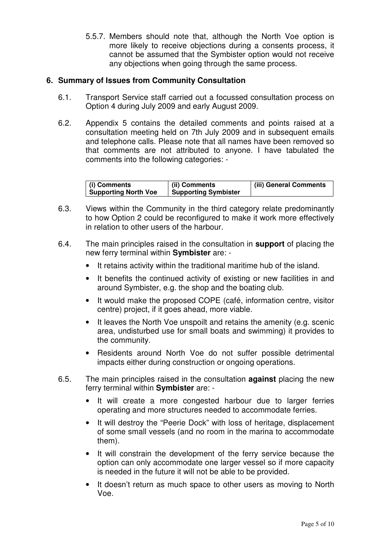5.5.7. Members should note that, although the North Voe option is more likely to receive objections during a consents process, it cannot be assumed that the Symbister option would not receive any objections when going through the same process.

# **6. Summary of Issues from Community Consultation**

- 6.1. Transport Service staff carried out a focussed consultation process on Option 4 during July 2009 and early August 2009.
- 6.2. Appendix 5 contains the detailed comments and points raised at a consultation meeting held on 7th July 2009 and in subsequent emails and telephone calls. Please note that all names have been removed so that comments are not attributed to anyone. I have tabulated the comments into the following categories: -

| (i) Comments                | (ii) Comments               | (iii) General Comments |
|-----------------------------|-----------------------------|------------------------|
| <b>Supporting North Voe</b> | <b>Supporting Symbister</b> |                        |

- 6.3. Views within the Community in the third category relate predominantly to how Option 2 could be reconfigured to make it work more effectively in relation to other users of the harbour.
- 6.4. The main principles raised in the consultation in **support** of placing the new ferry terminal within **Symbister** are: -
	- It retains activity within the traditional maritime hub of the island.
	- It benefits the continued activity of existing or new facilities in and around Symbister, e.g. the shop and the boating club.
	- It would make the proposed COPE (café, information centre, visitor centre) project, if it goes ahead, more viable.
	- It leaves the North Voe unspoilt and retains the amenity (e.g. scenic area, undisturbed use for small boats and swimming) it provides to the community.
	- Residents around North Voe do not suffer possible detrimental impacts either during construction or ongoing operations.
- 6.5. The main principles raised in the consultation **against** placing the new ferry terminal within **Symbister** are: -
	- It will create a more congested harbour due to larger ferries operating and more structures needed to accommodate ferries.
	- It will destroy the "Peerie Dock" with loss of heritage, displacement of some small vessels (and no room in the marina to accommodate them).
	- It will constrain the development of the ferry service because the option can only accommodate one larger vessel so if more capacity is needed in the future it will not be able to be provided.
	- It doesn't return as much space to other users as moving to North Voe.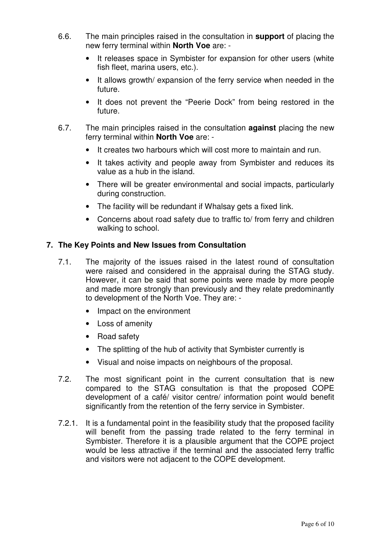- 6.6. The main principles raised in the consultation in **support** of placing the new ferry terminal within **North Voe** are: -
	- It releases space in Symbister for expansion for other users (white fish fleet, marina users, etc.).
	- It allows growth/ expansion of the ferry service when needed in the future.
	- It does not prevent the "Peerie Dock" from being restored in the future.
- 6.7. The main principles raised in the consultation **against** placing the new ferry terminal within **North Voe** are: -
	- It creates two harbours which will cost more to maintain and run.
	- It takes activity and people away from Symbister and reduces its value as a hub in the island.
	- There will be greater environmental and social impacts, particularly during construction.
	- The facility will be redundant if Whalsay gets a fixed link.
	- Concerns about road safety due to traffic to/ from ferry and children walking to school.

# **7. The Key Points and New Issues from Consultation**

- 7.1. The majority of the issues raised in the latest round of consultation were raised and considered in the appraisal during the STAG study. However, it can be said that some points were made by more people and made more strongly than previously and they relate predominantly to development of the North Voe. They are: -
	- Impact on the environment
	- Loss of amenity
	- Road safety
	- The splitting of the hub of activity that Symbister currently is
	- Visual and noise impacts on neighbours of the proposal.
- 7.2. The most significant point in the current consultation that is new compared to the STAG consultation is that the proposed COPE development of a café/ visitor centre/ information point would benefit significantly from the retention of the ferry service in Symbister.
- 7.2.1. It is a fundamental point in the feasibility study that the proposed facility will benefit from the passing trade related to the ferry terminal in Symbister. Therefore it is a plausible argument that the COPE project would be less attractive if the terminal and the associated ferry traffic and visitors were not adjacent to the COPE development.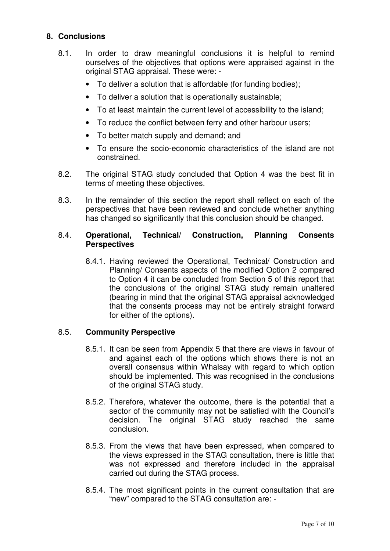# **8. Conclusions**

- 8.1. In order to draw meaningful conclusions it is helpful to remind ourselves of the objectives that options were appraised against in the original STAG appraisal. These were: -
	- To deliver a solution that is affordable (for funding bodies);
	- To deliver a solution that is operationally sustainable;
	- To at least maintain the current level of accessibility to the island;
	- To reduce the conflict between ferry and other harbour users;
	- To better match supply and demand; and
	- To ensure the socio-economic characteristics of the island are not constrained.
- 8.2. The original STAG study concluded that Option 4 was the best fit in terms of meeting these objectives.
- 8.3. In the remainder of this section the report shall reflect on each of the perspectives that have been reviewed and conclude whether anything has changed so significantly that this conclusion should be changed.

#### 8.4. **Operational, Technical/ Construction, Planning Consents Perspectives**

8.4.1. Having reviewed the Operational, Technical/ Construction and Planning/ Consents aspects of the modified Option 2 compared to Option 4 it can be concluded from Section 5 of this report that the conclusions of the original STAG study remain unaltered (bearing in mind that the original STAG appraisal acknowledged that the consents process may not be entirely straight forward for either of the options).

# 8.5. **Community Perspective**

- 8.5.1. It can be seen from Appendix 5 that there are views in favour of and against each of the options which shows there is not an overall consensus within Whalsay with regard to which option should be implemented. This was recognised in the conclusions of the original STAG study.
- 8.5.2. Therefore, whatever the outcome, there is the potential that a sector of the community may not be satisfied with the Council's decision. The original STAG study reached the same conclusion.
- 8.5.3. From the views that have been expressed, when compared to the views expressed in the STAG consultation, there is little that was not expressed and therefore included in the appraisal carried out during the STAG process.
- 8.5.4. The most significant points in the current consultation that are "new" compared to the STAG consultation are: -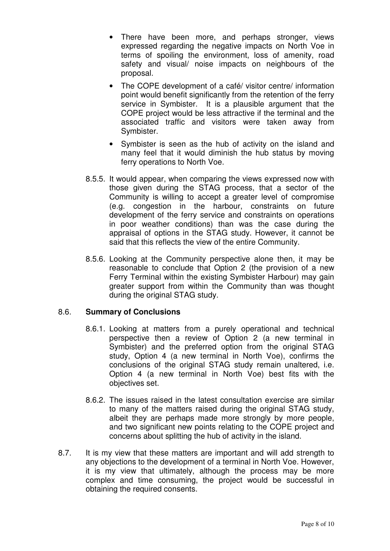- There have been more, and perhaps stronger, views expressed regarding the negative impacts on North Voe in terms of spoiling the environment, loss of amenity, road safety and visual/ noise impacts on neighbours of the proposal.
- The COPE development of a café/ visitor centre/ information point would benefit significantly from the retention of the ferry service in Symbister. It is a plausible argument that the COPE project would be less attractive if the terminal and the associated traffic and visitors were taken away from Symbister.
- Symbister is seen as the hub of activity on the island and many feel that it would diminish the hub status by moving ferry operations to North Voe.
- 8.5.5. It would appear, when comparing the views expressed now with those given during the STAG process, that a sector of the Community is willing to accept a greater level of compromise (e.g. congestion in the harbour, constraints on future development of the ferry service and constraints on operations in poor weather conditions) than was the case during the appraisal of options in the STAG study. However, it cannot be said that this reflects the view of the entire Community.
- 8.5.6. Looking at the Community perspective alone then, it may be reasonable to conclude that Option 2 (the provision of a new Ferry Terminal within the existing Symbister Harbour) may gain greater support from within the Community than was thought during the original STAG study.

# 8.6. **Summary of Conclusions**

- 8.6.1. Looking at matters from a purely operational and technical perspective then a review of Option 2 (a new terminal in Symbister) and the preferred option from the original STAG study, Option 4 (a new terminal in North Voe), confirms the conclusions of the original STAG study remain unaltered, i.e. Option 4 (a new terminal in North Voe) best fits with the objectives set.
- 8.6.2. The issues raised in the latest consultation exercise are similar to many of the matters raised during the original STAG study, albeit they are perhaps made more strongly by more people, and two significant new points relating to the COPE project and concerns about splitting the hub of activity in the island.
- 8.7. It is my view that these matters are important and will add strength to any objections to the development of a terminal in North Voe. However, it is my view that ultimately, although the process may be more complex and time consuming, the project would be successful in obtaining the required consents.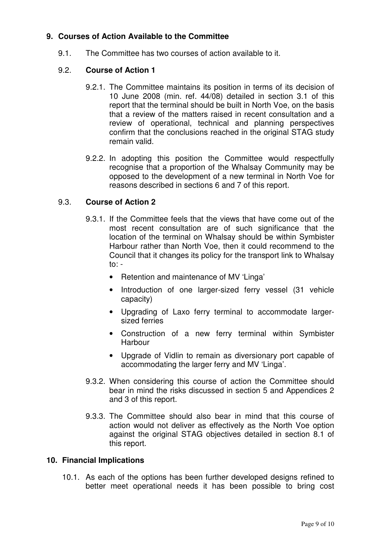# **9. Courses of Action Available to the Committee**

9.1. The Committee has two courses of action available to it.

# 9.2. **Course of Action 1**

- 9.2.1. The Committee maintains its position in terms of its decision of 10 June 2008 (min. ref. 44/08) detailed in section 3.1 of this report that the terminal should be built in North Voe, on the basis that a review of the matters raised in recent consultation and a review of operational, technical and planning perspectives confirm that the conclusions reached in the original STAG study remain valid.
- 9.2.2. In adopting this position the Committee would respectfully recognise that a proportion of the Whalsay Community may be opposed to the development of a new terminal in North Voe for reasons described in sections 6 and 7 of this report.

# 9.3. **Course of Action 2**

- 9.3.1. If the Committee feels that the views that have come out of the most recent consultation are of such significance that the location of the terminal on Whalsay should be within Symbister Harbour rather than North Voe, then it could recommend to the Council that it changes its policy for the transport link to Whalsay  $to: -$ 
	- Retention and maintenance of MV 'Linga'
	- Introduction of one larger-sized ferry vessel (31 vehicle capacity)
	- Upgrading of Laxo ferry terminal to accommodate largersized ferries
	- Construction of a new ferry terminal within Symbister Harbour
	- Upgrade of Vidlin to remain as diversionary port capable of accommodating the larger ferry and MV 'Linga'.
- 9.3.2. When considering this course of action the Committee should bear in mind the risks discussed in section 5 and Appendices 2 and 3 of this report.
- 9.3.3. The Committee should also bear in mind that this course of action would not deliver as effectively as the North Voe option against the original STAG objectives detailed in section 8.1 of this report.

# **10. Financial Implications**

10.1. As each of the options has been further developed designs refined to better meet operational needs it has been possible to bring cost